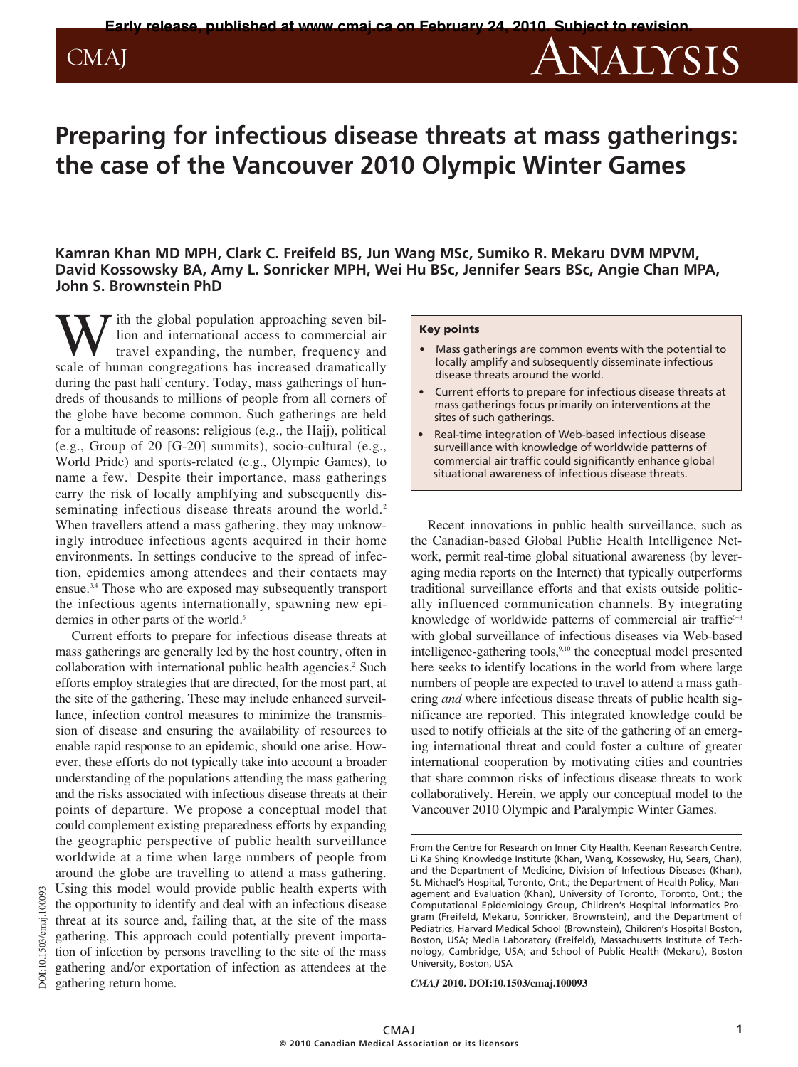CMAJ ANALYSIS

# **Preparing for infectious disease threats at mass gatherings: the case of the Vancouver 2010 Olympic Winter Games**

**Kamran Khan MD MPH, Clark C. Freifeld BS, Jun Wang MSc, Sumiko R. Mekaru DVM MPVM, David Kossowsky BA, Amy L. Sonricker MPH, Wei Hu BSc, Jennifer Sears BSc, Angie Chan MPA, John S. Brownstein PhD**

ith the global population approaching seven billion and international access to commercial air travel expanding, the number, frequency and scale of human congregations has increased dramatically during the past half century. Today, mass gatherings of hundreds of thousands to millions of people from all corners of the globe have become common. Such gatherings are held for a multitude of reasons: religious (e.g., the Hajj), political (e.g., Group of 20 [G-20] summits), socio-cultural (e.g., World Pride) and sports-related (e.g., Olympic Games), to name a few. <sup>1</sup> Despite their importance, mass gatherings carry the risk of locally amplifying and subsequently disseminating infectious disease threats around the world.<sup>2</sup> When travellers attend a mass gathering, they may unknowingly introduce infectious agents acquired in their home environments. In settings conducive to the spread of infection, epidemics among attendees and their contacts may ensue.<sup>3,4</sup> Those who are exposed may subsequently transport the infectious agents internationally, spawning new epidemics in other parts of the world.<sup>5</sup>

Current efforts to prepare for infectious disease threats at mass gatherings are generally led by the host country, often in collaboration with international public health agencies. <sup>2</sup> Such efforts employ strategies that are directed, for the most part, at the site of the gathering. These may include enhanced surveillance, infection control measures to minimize the transmission of disease and ensuring the availability of resources to enable rapid response to an epidemic, should one arise. However, these efforts do not typically take into account a broader understanding of the populations attending the mass gathering and the risks associated with infectious disease threats at their points of departure. We propose a conceptual model that could complement existing preparedness efforts by expanding the geographic perspective of public health surveillance worldwide at a time when large numbers of people from around the globe are travelling to attend a mass gathering. Using this model would provide public health experts with the opportunity to identify and deal with an infectious disease threat at its source and, failing that, at the site of the mass gathering. This approach could potentially prevent importation of infection by persons travelling to the site of the mass gathering and/or exportation of infection as attendees at the gathering return home.

#### Key points

- Mass gatherings are common events with the potential to locally amplify and subsequently disseminate infectious disease threats around the world.
- Current efforts to prepare for infectious disease threats at mass gatherings focus primarily on interventions at the sites of such gatherings.
- Real-time integration of Web-based infectious disease surveillance with knowledge of worldwide patterns of commercial air traffic could significantly enhance global situational awareness of infectious disease threats.

Recent innovations in public health surveillance, such as the Canadian-based Global Public Health Intelligence Network, permit real-time global situational awareness (by leveraging media reports on the Internet) that typically outperforms traditional surveillance efforts and that exists outside politically influenced communication channels. By integrating knowledge of worldwide patterns of commercial air traffic<sup>6-8</sup> with global surveillance of infectious diseases via Web-based intelligence-gathering tools, 9,10 the conceptual model presented here seeks to identify locations in the world from where large numbers of people are expected to travel to attend a mass gathering *and* where infectious disease threats of public health significance are reported. This integrated knowledge could be used to notify officials at the site of the gathering of an emerging international threat and could foster a culture of greater international cooperation by motivating cities and countries that share common risks of infectious disease threats to work collaboratively. Herein, we apply our conceptual model to the Vancouver 2010 Olympic and Paralympic Winter Games.

*CMAJ* **2010. DOI:10.1503/cmaj.100093**

DOI:10.1503/cmaj.100093 OI:10.1503/cmaj.100093

From the Centre for Research on Inner City Health, Keenan Research Centre, Li Ka Shing Knowledge Institute (Khan, Wang, Kossowsky, Hu, Sears, Chan), and the Department of Medicine, Division of Infectious Diseases (Khan), St. Michael's Hospital, Toronto, Ont.; the Department of Health Policy, Management and Evaluation (Khan), University of Toronto, Toronto, Ont.; the Computational Epidemiology Group, Children's Hospital Informatics Program (Freifeld, Mekaru, Sonricker, Brownstein), and the Department of Pediatrics, Harvard Medical School (Brownstein), Children's Hospital Boston, Boston, USA; Media Laboratory (Freifeld), Massachusetts Institute of Technology, Cambridge, USA; and School of Public Health (Mekaru), Boston University, Boston, USA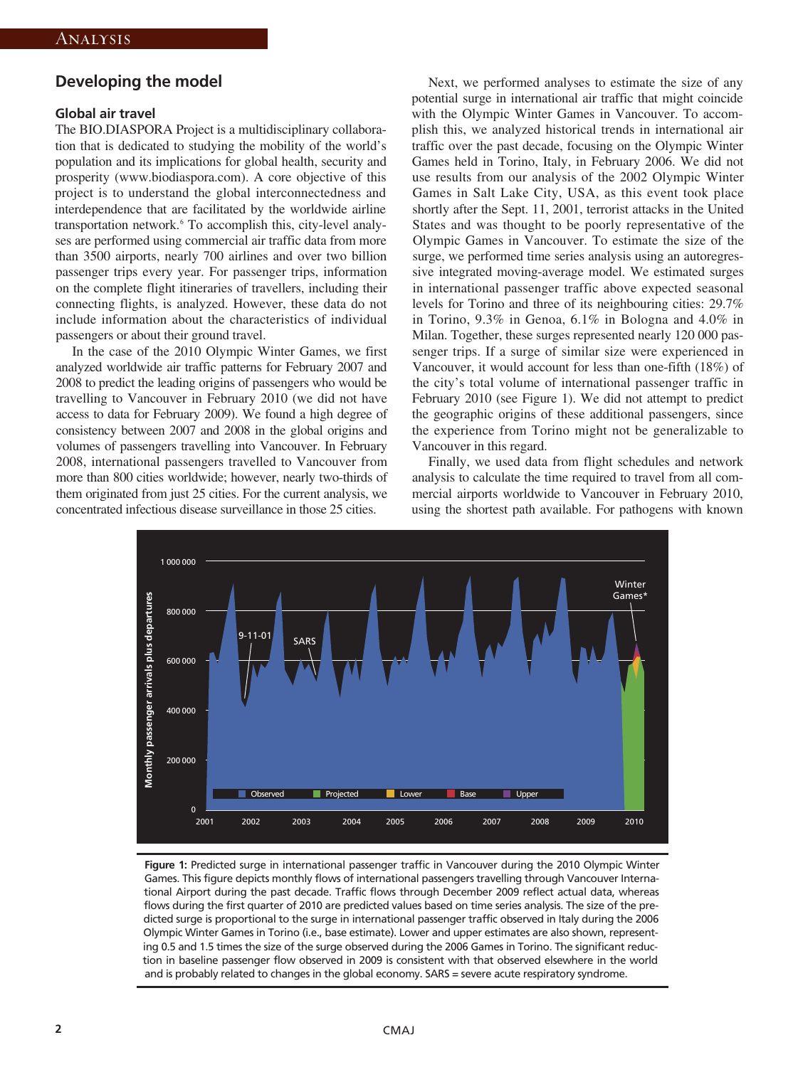# **Developing the model**

## **Global air travel**

The BIO.DIASPORA Project is a multidisciplinary collaboration that is dedicated to studying the mobility of the world's population and its implications for global health, security and prosperity (www.biodiaspora.com). A core objective of this project is to understand the global interconnectedness and interdependence that are facilitated by the worldwide airline transportation network. <sup>6</sup> To accomplish this, city-level analyses are performed using commercial air traffic data from more than 3500 airports, nearly 700 airlines and over two billion passenger trips every year. For passenger trips, information on the complete flight itineraries of travellers, including their connecting flights, is analyzed. However, these data do not include information about the characteristics of individual passengers or about their ground travel.

In the case of the 2010 Olympic Winter Games, we first analyzed worldwide air traffic patterns for February 2007 and 2008 to predict the leading origins of passengers who would be travelling to Vancouver in February 2010 (we did not have access to data for February 2009). We found a high degree of consistency between 2007 and 2008 in the global origins and volumes of passengers travelling into Vancouver. In February 2008, international passengers travelled to Vancouver from more than 800 cities worldwide; however, nearly two-thirds of them originated from just 25 cities. For the current analysis, we concentrated infectious disease surveillance in those 25 cities.

Next, we performed analyses to estimate the size of any potential surge in international air traffic that might coincide with the Olympic Winter Games in Vancouver. To accomplish this, we analyzed historical trends in international air traffic over the past decade, focusing on the Olympic Winter Games held in Torino, Italy, in February 2006. We did not use results from our analysis of the 2002 Olympic Winter Games in Salt Lake City, USA, as this event took place shortly after the Sept. 11, 2001, terrorist attacks in the United States and was thought to be poorly representative of the Olympic Games in Vancouver. To estimate the size of the surge, we performed time series analysis using an autoregressive integrated moving-average model. We estimated surges in international passenger traffic above expected seasonal levels for Torino and three of its neighbouring cities: 29.7% in Torino, 9.3% in Genoa, 6.1% in Bologna and 4.0% in Milan. Together, these surges represented nearly 120 000 passenger trips. If a surge of similar size were experienced in Vancouver, it would account for less than one-fifth (18%) of the city's total volume of international passenger traffic in February 2010 (see Figure 1). We did not attempt to predict the geographic origins of these additional passengers, since the experience from Torino might not be generalizable to Vancouver in this regard.

Finally, we used data from flight schedules and network analysis to calculate the time required to travel from all commercial airports worldwide to Vancouver in February 2010, using the shortest path available. For pathogens with known



**Figure 1:** Predicted surge in international passenger traffic in Vancouver during the 2010 Olympic Winter Games. This figure depicts monthly flows of international passengers travelling through Vancouver International Airport during the past decade. Traffic flows through December 2009 reflect actual data, whereas flows during the first quarter of 2010 are predicted values based on time series analysis. The size of the predicted surge is proportional to the surge in international passenger traffic observed in Italy during the 2006 Olympic Winter Games in Torino (i.e., base estimate). Lower and upper estimates are also shown, representing 0.5 and 1.5 times the size of the surge observed during the 2006 Games in Torino. The significant reduction in baseline passenger flow observed in 2009 is consistent with that observed elsewhere in the world and is probably related to changes in the global economy. SARS = severe acute respiratory syndrome.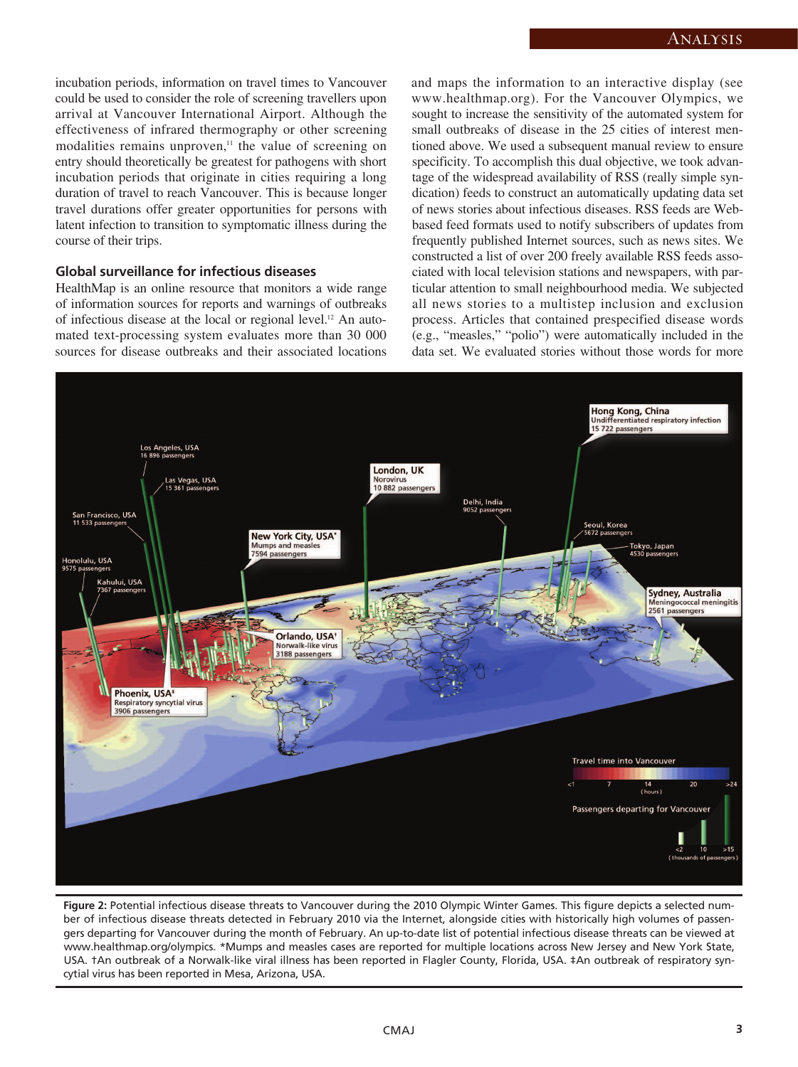incubation periods, information on travel times to Vancouver could be used to consider the role of screening travellers upon arrival at Vancouver International Airport. Although the effectiveness of infrared thermography or other screening modalities remains unproven, <sup>11</sup> the value of screening on entry should theoretically be greatest for pathogens with short incubation periods that originate in cities requiring a long duration of travel to reach Vancouver. This is because longer travel durations offer greater opportunities for persons with latent infection to transition to symptomatic illness during the course of their trips.

## **Global surveillance for infectious diseases**

HealthMap is an online resource that monitors a wide range of information sources for reports and warnings of outbreaks of infectious disease at the local or regional level. <sup>12</sup> An automated text-processing system evaluates more than 30 000 sources for disease outbreaks and their associated locations

and maps the information to an interactive display (see www.healthmap.org). For the Vancouver Olympics, we sought to increase the sensitivity of the automated system for small outbreaks of disease in the 25 cities of interest mentioned above. We used a subsequent manual review to ensure specificity. To accomplish this dual objective, we took advantage of the widespread availability of RSS (really simple syndication) feeds to construct an automatically updating data set of news stories about infectious diseases. RSS feeds are Webbased feed formats used to notify subscribers of updates from frequently published Internet sources, such as news sites. We constructed a list of over 200 freely available RSS feeds associated with local television stations and newspapers, with particular attention to small neighbourhood media. We subjected all news stories to a multistep inclusion and exclusion process. Articles that contained prespecified disease words (e.g., "measles," "polio") were automatically included in the data set. We evaluated stories without those words for more



**Figure 2:** Potential infectious disease threats to Vancouver during the 2010 Olympic Winter Games. This figure depicts a selected number of infectious disease threats detected in February 2010 via the Internet, alongside cities with historically high volumes of passengers departing for Vancouver during the month of February. An up-to-date list of potential infectious disease threats can be viewed at www.healthmap.org/olympics. \*Mumps and measles cases are reported for multiple locations across New Jersey and New York State, USA. †An outbreak of a Norwalk-like viral illness has been reported in Flagler County, Florida, USA. ‡An outbreak of respiratory syncytial virus has been reported in Mesa, Arizona, USA.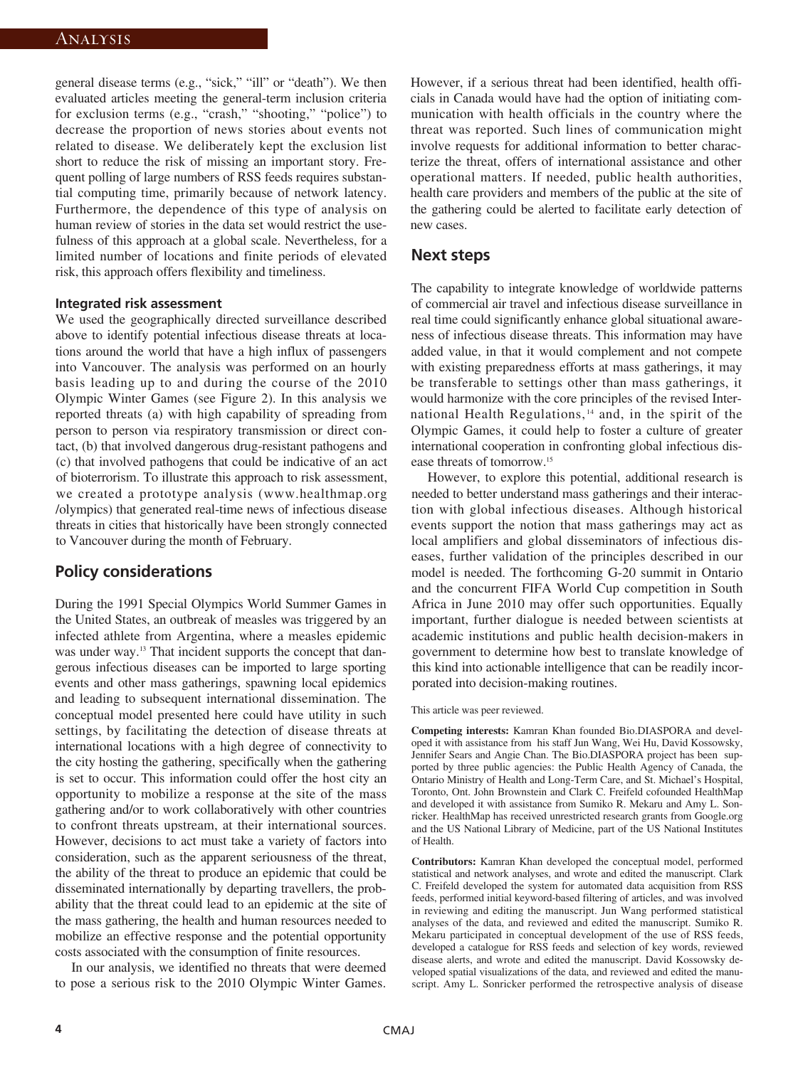general disease terms (e.g., "sick," "ill" or "death"). We then evaluated articles meeting the general-term inclusion criteria for exclusion terms (e.g., "crash," "shooting," "police") to decrease the proportion of news stories about events not related to disease. We deliberately kept the exclusion list short to reduce the risk of missing an important story. Frequent polling of large numbers of RSS feeds requires substantial computing time, primarily because of network latency. Furthermore, the dependence of this type of analysis on human review of stories in the data set would restrict the usefulness of this approach at a global scale. Nevertheless, for a limited number of locations and finite periods of elevated risk, this approach offers flexibility and timeliness.

### **Integrated risk assessment**

We used the geographically directed surveillance described above to identify potential infectious disease threats at locations around the world that have a high influx of passengers into Vancouver. The analysis was performed on an hourly basis leading up to and during the course of the 2010 Olympic Winter Games (see Figure 2). In this analysis we reported threats (a) with high capability of spreading from person to person via respiratory transmission or direct contact, (b) that involved dangerous drug-resistant pathogens and (c) that involved pathogens that could be indicative of an act of bioterrorism. To illustrate this approach to risk assessment, we created a prototype analysis (www.healthmap.org /olympics) that generated real-time news of infectious disease threats in cities that historically have been strongly connected to Vancouver during the month of February.

# **Policy considerations**

During the 1991 Special Olympics World Summer Games in the United States, an outbreak of measles was triggered by an infected athlete from Argentina, where a measles epidemic was under way.<sup>13</sup> That incident supports the concept that dangerous infectious diseases can be imported to large sporting events and other mass gatherings, spawning local epidemics and leading to subsequent international dissemination. The conceptual model presented here could have utility in such settings, by facilitating the detection of disease threats at international locations with a high degree of connectivity to the city hosting the gathering, specifically when the gathering is set to occur. This information could offer the host city an opportunity to mobilize a response at the site of the mass gathering and/or to work collaboratively with other countries to confront threats upstream, at their international sources. However, decisions to act must take a variety of factors into consideration, such as the apparent seriousness of the threat, the ability of the threat to produce an epidemic that could be disseminated internationally by departing travellers, the probability that the threat could lead to an epidemic at the site of the mass gathering, the health and human resources needed to mobilize an effective response and the potential opportunity costs associated with the consumption of finite resources.

In our analysis, we identified no threats that were deemed to pose a serious risk to the 2010 Olympic Winter Games.

However, if a serious threat had been identified, health officials in Canada would have had the option of initiating communication with health officials in the country where the threat was reported. Such lines of communication might involve requests for additional information to better characterize the threat, offers of international assistance and other operational matters. If needed, public health authorities, health care providers and members of the public at the site of the gathering could be alerted to facilitate early detection of new cases.

## **Next steps**

The capability to integrate knowledge of worldwide patterns of commercial air travel and infectious disease surveillance in real time could significantly enhance global situational awareness of infectious disease threats. This information may have added value, in that it would complement and not compete with existing preparedness efforts at mass gatherings, it may be transferable to settings other than mass gatherings, it would harmonize with the core principles of the revised International Health Regulations, <sup>14</sup> and, in the spirit of the Olympic Games, it could help to foster a culture of greater international cooperation in confronting global infectious disease threats of tomorrow. 15

However, to explore this potential, additional research is needed to better understand mass gatherings and their interaction with global infectious diseases. Although historical events support the notion that mass gatherings may act as local amplifiers and global disseminators of infectious diseases, further validation of the principles described in our model is needed. The forthcoming G-20 summit in Ontario and the concurrent FIFA World Cup competition in South Africa in June 2010 may offer such opportunities. Equally important, further dialogue is needed between scientists at academic institutions and public health decision-makers in government to determine how best to translate knowledge of this kind into actionable intelligence that can be readily incorporated into decision-making routines.

#### This article was peer reviewed.

**Competing interests:** Kamran Khan founded Bio.DIASPORA and developed it with assistance from his staff Jun Wang, Wei Hu, David Kossowsky, Jennifer Sears and Angie Chan. The Bio.DIASPORA project has been supported by three public agencies: the Public Health Agency of Canada, the Ontario Ministry of Health and Long-Term Care, and St. Michael's Hospital, Toronto, Ont. John Brownstein and Clark C. Freifeld cofounded HealthMap and developed it with assistance from Sumiko R. Mekaru and Amy L. Sonricker. HealthMap has received unrestricted research grants from Google.org and the US National Library of Medicine, part of the US National Institutes of Health.

**Contributors:** Kamran Khan developed the conceptual model, performed statistical and network analyses, and wrote and edited the manuscript. Clark C. Freifeld developed the system for automated data acquisition from RSS feeds, performed initial keyword-based filtering of articles, and was involved in reviewing and editing the manuscript. Jun Wang performed statistical analyses of the data, and reviewed and edited the manuscript. Sumiko R. Mekaru participated in conceptual development of the use of RSS feeds, developed a catalogue for RSS feeds and selection of key words, reviewed disease alerts, and wrote and edited the manuscript. David Kossowsky developed spatial visualizations of the data, and reviewed and edited the manuscript. Amy L. Sonricker performed the retrospective analysis of disease